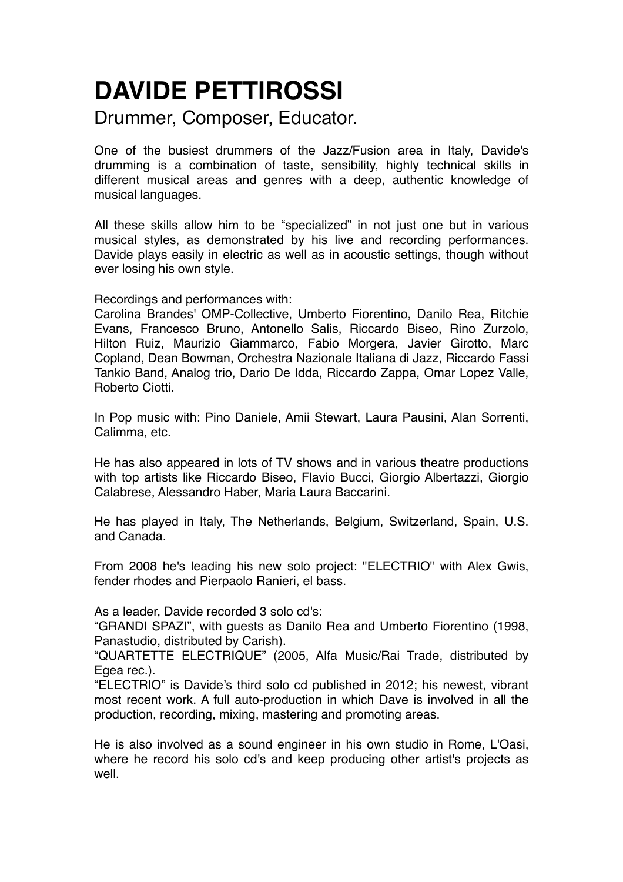## **DAVIDE PETTIROSSI**

Drummer, Composer, Educator.

One of the busiest drummers of the Jazz/Fusion area in Italy, Davide's drumming is a combination of taste, sensibility, highly technical skills in different musical areas and genres with a deep, authentic knowledge of musical languages.

All these skills allow him to be "specialized" in not just one but in various musical styles, as demonstrated by his live and recording performances. Davide plays easily in electric as well as in acoustic settings, though without ever losing his own style.

Recordings and performances with:

Carolina Brandes' OMP-Collective, Umberto Fiorentino, Danilo Rea, Ritchie Evans, Francesco Bruno, Antonello Salis, Riccardo Biseo, Rino Zurzolo, Hilton Ruiz, Maurizio Giammarco, Fabio Morgera, Javier Girotto, Marc Copland, Dean Bowman, Orchestra Nazionale Italiana di Jazz, Riccardo Fassi Tankio Band, Analog trio, Dario De Idda, Riccardo Zappa, Omar Lopez Valle, Roberto Ciotti.

In Pop music with: Pino Daniele, Amii Stewart, Laura Pausini, Alan Sorrenti, Calimma, etc.

He has also appeared in lots of TV shows and in various theatre productions with top artists like Riccardo Biseo, Flavio Bucci, Giorgio Albertazzi, Giorgio Calabrese, Alessandro Haber, Maria Laura Baccarini.

He has played in Italy, The Netherlands, Belgium, Switzerland, Spain, U.S. and Canada.

From 2008 he's leading his new solo project: "ELECTRIO" with Alex Gwis, fender rhodes and Pierpaolo Ranieri, el bass.

As a leader, Davide recorded 3 solo cd's:

"GRANDI SPAZI", with guests as Danilo Rea and Umberto Fiorentino (1998, Panastudio, distributed by Carish).

"QUARTETTE ELECTRIQUE" (2005, Alfa Music/Rai Trade, distributed by Egea rec.).

"ELECTRIO" is Davide's third solo cd published in 2012; his newest, vibrant most recent work. A full auto-production in which Dave is involved in all the production, recording, mixing, mastering and promoting areas.

He is also involved as a sound engineer in his own studio in Rome, L'Oasi, where he record his solo cd's and keep producing other artist's projects as well.